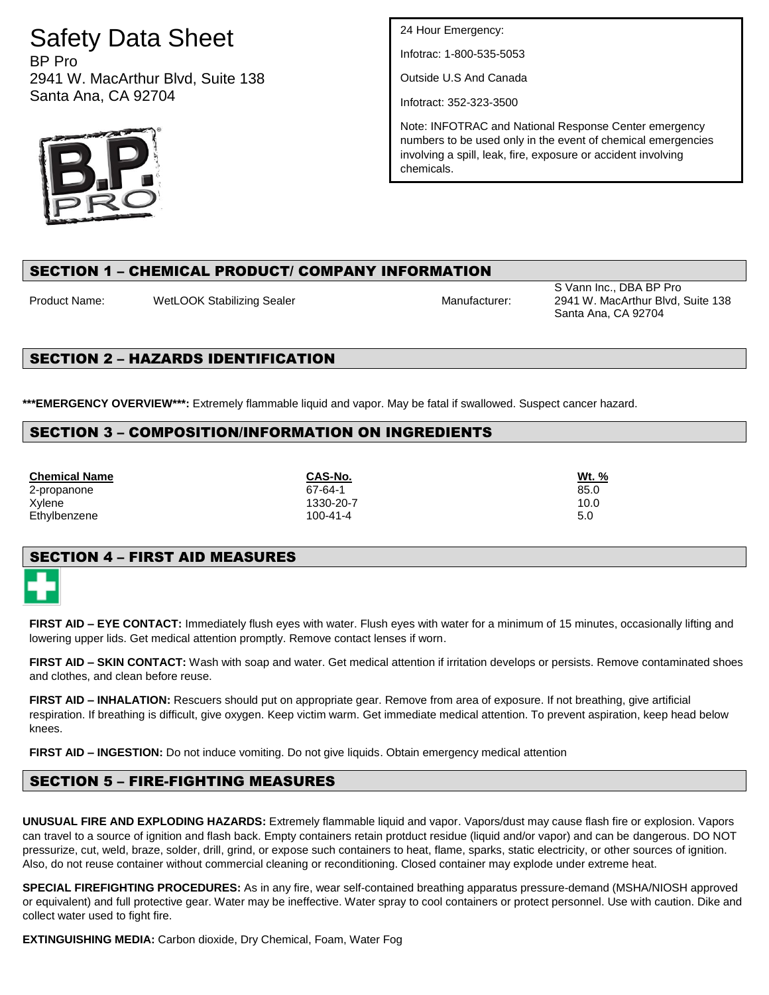# Safety Data Sheet

BP Pro 2941 W. MacArthur Blvd, Suite 138 Santa Ana, CA 92704



24 Hour Emergency:

Infotrac: 1-800-535-5053

Outside U.S And Canada

Infotract: 352-323-3500

Note: INFOTRAC and National Response Center emergency numbers to be used only in the event of chemical emergencies involving a spill, leak, fire, exposure or accident involving chemicals.

### SECTION 1 – CHEMICAL PRODUCT/ COMPANY INFORMATION

Product Name: WetLOOK Stabilizing Sealer Manufacturer: Manufacturer:

S Vann Inc., DBA BP Pro 2941 W. MacArthur Blvd, Suite 138 Santa Ana, CA 92704

### SECTION 2 – HAZARDS IDENTIFICATION

**\*\*\*EMERGENCY OVERVIEW\*\*\*:** Extremely flammable liquid and vapor. May be fatal if swallowed. Suspect cancer hazard.

### SECTION 3 – COMPOSITION/INFORMATION ON INGREDIENTS

**Chemical Name CAS-No. Wt. %** 2-propanone 85.0 Xylene 1330-20-7 10.0 Ethylbenzene 5.0

### SECTION 4 – FIRST AID MEASURES

**FIRST AID – EYE CONTACT:** Immediately flush eyes with water. Flush eyes with water for a minimum of 15 minutes, occasionally lifting and lowering upper lids. Get medical attention promptly. Remove contact lenses if worn.

**FIRST AID – SKIN CONTACT:** Wash with soap and water. Get medical attention if irritation develops or persists. Remove contaminated shoes and clothes, and clean before reuse.

**FIRST AID – INHALATION:** Rescuers should put on appropriate gear. Remove from area of exposure. If not breathing, give artificial respiration. If breathing is difficult, give oxygen. Keep victim warm. Get immediate medical attention. To prevent aspiration, keep head below knees.

**FIRST AID – INGESTION:** Do not induce vomiting. Do not give liquids. Obtain emergency medical attention

## SECTION 5 – FIRE-FIGHTING MEASURES

**UNUSUAL FIRE AND EXPLODING HAZARDS:** Extremely flammable liquid and vapor. Vapors/dust may cause flash fire or explosion. Vapors can travel to a source of ignition and flash back. Empty containers retain protduct residue (liquid and/or vapor) and can be dangerous. DO NOT pressurize, cut, weld, braze, solder, drill, grind, or expose such containers to heat, flame, sparks, static electricity, or other sources of ignition. Also, do not reuse container without commercial cleaning or reconditioning. Closed container may explode under extreme heat.

**SPECIAL FIREFIGHTING PROCEDURES:** As in any fire, wear self-contained breathing apparatus pressure-demand (MSHA/NIOSH approved or equivalent) and full protective gear. Water may be ineffective. Water spray to cool containers or protect personnel. Use with caution. Dike and collect water used to fight fire.

**EXTINGUISHING MEDIA:** Carbon dioxide, Dry Chemical, Foam, Water Fog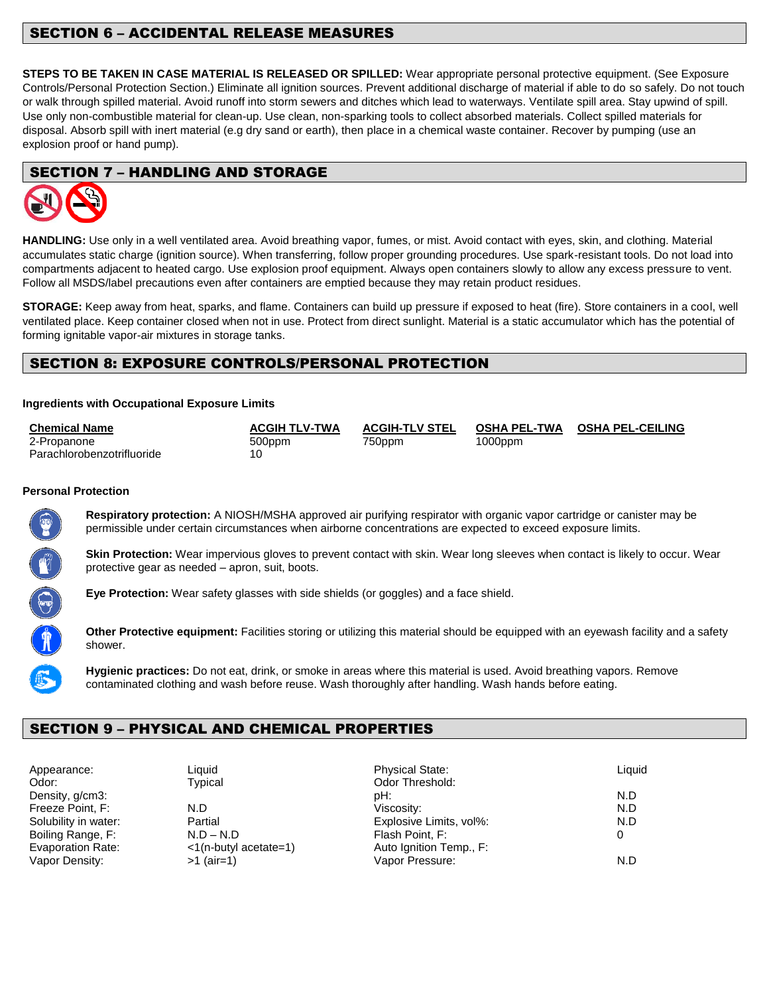### SECTION 6 – ACCIDENTAL RELEASE MEASURES

**STEPS TO BE TAKEN IN CASE MATERIAL IS RELEASED OR SPILLED:** Wear appropriate personal protective equipment. (See Exposure Controls/Personal Protection Section.) Eliminate all ignition sources. Prevent additional discharge of material if able to do so safely. Do not touch or walk through spilled material. Avoid runoff into storm sewers and ditches which lead to waterways. Ventilate spill area. Stay upwind of spill. Use only non-combustible material for clean-up. Use clean, non-sparking tools to collect absorbed materials. Collect spilled materials for disposal. Absorb spill with inert material (e.g dry sand or earth), then place in a chemical waste container. Recover by pumping (use an explosion proof or hand pump).

### SECTION 7 – HANDLING AND STORAGE



**HANDLING:** Use only in a well ventilated area. Avoid breathing vapor, fumes, or mist. Avoid contact with eyes, skin, and clothing. Material accumulates static charge (ignition source). When transferring, follow proper grounding procedures. Use spark-resistant tools. Do not load into compartments adjacent to heated cargo. Use explosion proof equipment. Always open containers slowly to allow any excess pressure to vent. Follow all MSDS/label precautions even after containers are emptied because they may retain product residues.

**STORAGE:** Keep away from heat, sparks, and flame. Containers can build up pressure if exposed to heat (fire). Store containers in a cool, well ventilated place. Keep container closed when not in use. Protect from direct sunlight. Material is a static accumulator which has the potential of forming ignitable vapor-air mixtures in storage tanks.

### SECTION 8: EXPOSURE CONTROLS/PERSONAL PROTECTION

#### **Ingredients with Occupational Exposure Limits**

| <b>Chemical Name</b>       | <b>ACGIH TLV-TWA</b> | <b>ACGIH-TLV STEL</b> | OSHA PEL-TWA | <b>OSHA PEL-CEILING</b> |
|----------------------------|----------------------|-----------------------|--------------|-------------------------|
| 2-Propanone                | 500ppm               | 750ppm                | $1000$ ppm   |                         |
| Parachlorobenzotrifluoride |                      |                       |              |                         |

#### **Personal Protection**



**Respiratory protection:** A NIOSH/MSHA approved air purifying respirator with organic vapor cartridge or canister may be permissible under certain circumstances when airborne concentrations are expected to exceed exposure limits.

**Skin Protection:** Wear impervious gloves to prevent contact with skin. Wear long sleeves when contact is likely to occur. Wear protective gear as needed – apron, suit, boots.

**Eye Protection:** Wear safety glasses with side shields (or goggles) and a face shield.

**Other Protective equipment:** Facilities storing or utilizing this material should be equipped with an eyewash facility and a safety shower.

**Hygienic practices:** Do not eat, drink, or smoke in areas where this material is used. Avoid breathing vapors. Remove contaminated clothing and wash before reuse. Wash thoroughly after handling. Wash hands before eating.

### SECTION 9 – PHYSICAL AND CHEMICAL PROPERTIES

Odor: Typical Typical Odor Threshold:

Appearance: Charles Liquid Charles Charles Physical State: Liquid Liquid Physical State: Density, g/cm3: N.D Freeze Point, F: N.D Viscosity: N.D Solubility in water:  $\blacksquare$  Partial  $\blacksquare$  Partial Explosive Limits, vol%:  $\blacksquare$  N.D Boiling Range, F: N.D – N.D – N.D Flash Point, F: 0 Evaporation Rate: <1(n-butyl acetate=1) Auto Ignition Temp., F: Vapor Density: >1 (air=1) Vapor Pressure: N.D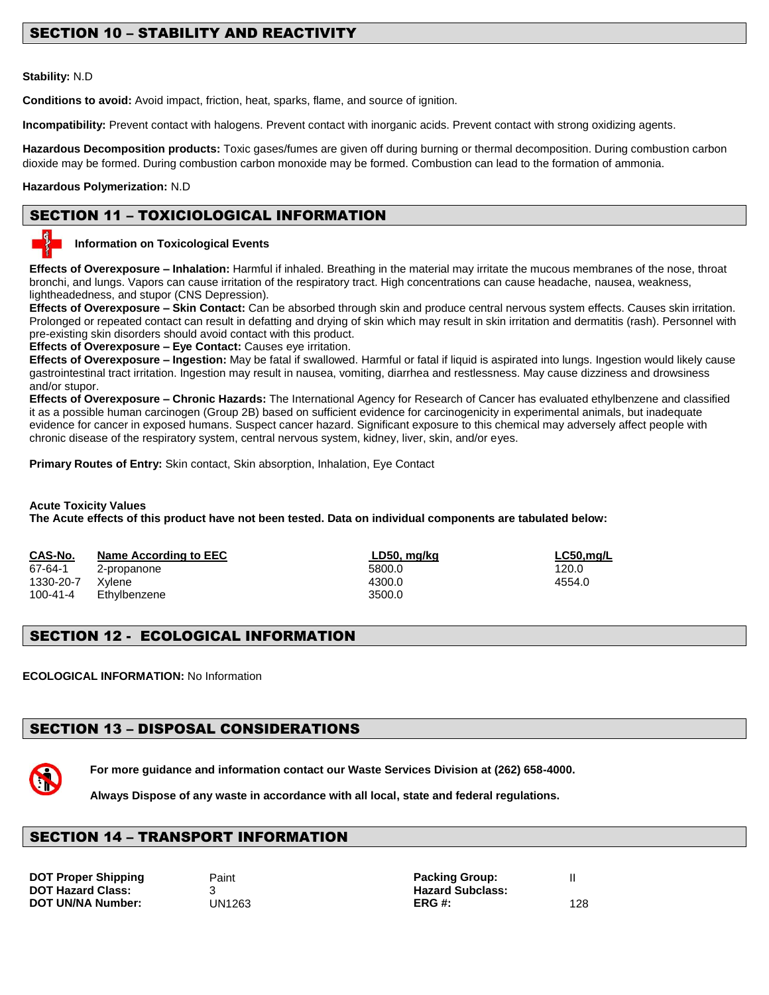### SECTION 10 – STABILITY AND REACTIVITY

#### **Stability:** N.D

**Conditions to avoid:** Avoid impact, friction, heat, sparks, flame, and source of ignition.

**Incompatibility:** Prevent contact with halogens. Prevent contact with inorganic acids. Prevent contact with strong oxidizing agents.

**Hazardous Decomposition products:** Toxic gases/fumes are given off during burning or thermal decomposition. During combustion carbon dioxide may be formed. During combustion carbon monoxide may be formed. Combustion can lead to the formation of ammonia.

#### **Hazardous Polymerization:** N.D

### SECTION 11 – TOXICIOLOGICAL INFORMATION



#### **Information on Toxicological Events**

**Effects of Overexposure – Inhalation:** Harmful if inhaled. Breathing in the material may irritate the mucous membranes of the nose, throat bronchi, and lungs. Vapors can cause irritation of the respiratory tract. High concentrations can cause headache, nausea, weakness, lightheadedness, and stupor (CNS Depression).

**Effects of Overexposure – Skin Contact:** Can be absorbed through skin and produce central nervous system effects. Causes skin irritation. Prolonged or repeated contact can result in defatting and drying of skin which may result in skin irritation and dermatitis (rash). Personnel with pre-existing skin disorders should avoid contact with this product.

**Effects of Overexposure – Eye Contact:** Causes eye irritation.

**Effects of Overexposure – Ingestion:** May be fatal if swallowed. Harmful or fatal if liquid is aspirated into lungs. Ingestion would likely cause gastrointestinal tract irritation. Ingestion may result in nausea, vomiting, diarrhea and restlessness. May cause dizziness and drowsiness and/or stupor.

**Effects of Overexposure – Chronic Hazards:** The International Agency for Research of Cancer has evaluated ethylbenzene and classified it as a possible human carcinogen (Group 2B) based on sufficient evidence for carcinogenicity in experimental animals, but inadequate evidence for cancer in exposed humans. Suspect cancer hazard. Significant exposure to this chemical may adversely affect people with chronic disease of the respiratory system, central nervous system, kidney, liver, skin, and/or eyes.

**Primary Routes of Entry:** Skin contact, Skin absorption, Inhalation, Eye Contact

#### **Acute Toxicity Values The Acute effects of this product have not been tested. Data on individual components are tabulated below:**

| CAS-No.   | Name According to EEC | LD50, mq/kq | $LC50$ , mg/L |
|-----------|-----------------------|-------------|---------------|
| 67-64-1   | 2-propanone           | 5800.0      | 120.0         |
| 1330-20-7 | Xvlene                | 4300.0      | 4554.0        |
| 100-41-4  | Ethylbenzene          | 3500.0      |               |

### SECTION 12 - ECOLOGICAL INFORMATION

**ECOLOGICAL INFORMATION:** No Information

## SECTION 13 – DISPOSAL CONSIDERATIONS



**For more guidance and information contact our Waste Services Division at (262) 658-4000.**

**Always Dispose of any waste in accordance with all local, state and federal regulations.** 

### SECTION 14 – TRANSPORT INFORMATION

**DOT Hazard Class:** 3

**DOT** Proper Shipping Paint Packing Group: The Packing Group: The Packing Group: The Packing Group: The Packing Group: The Packing Group: The Packing Group: The Packing Group: The Packing Group: The Packing Group: The Pack **DOT UN/NA Number:** UN1263 **ERG #:** 128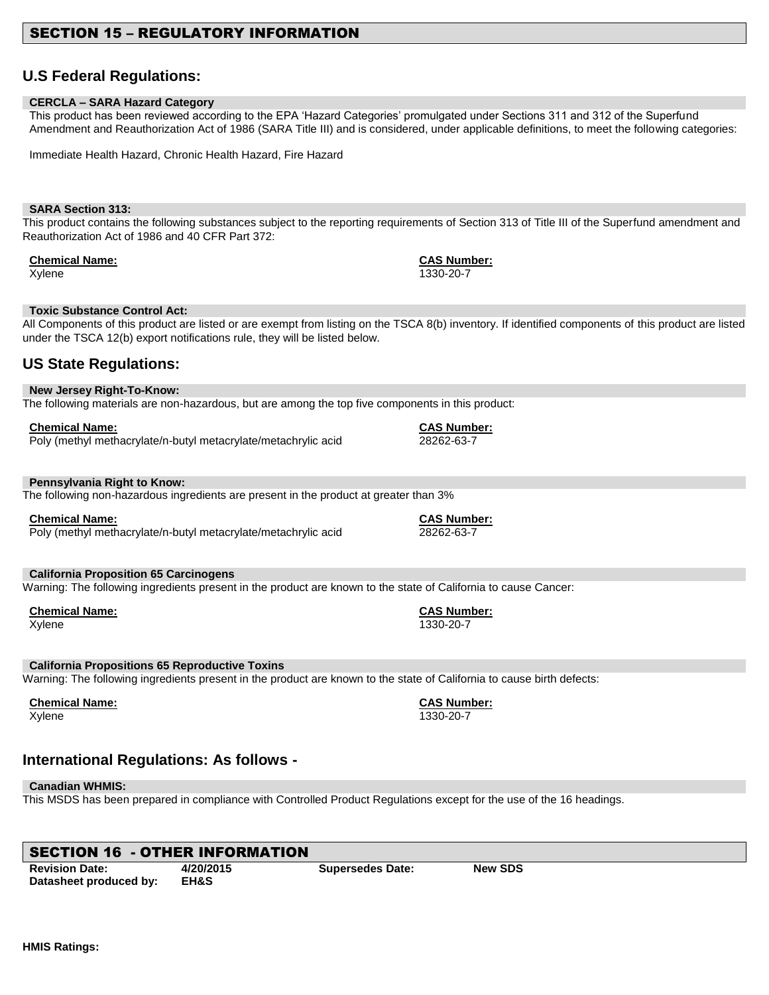### SECTION 15 – REGULATORY INFORMATION

### **U.S Federal Regulations:**

#### **CERCLA – SARA Hazard Category**

This product has been reviewed according to the EPA 'Hazard Categories' promulgated under Sections 311 and 312 of the Superfund Amendment and Reauthorization Act of 1986 (SARA Title III) and is considered, under applicable definitions, to meet the following categories:

Immediate Health Hazard, Chronic Health Hazard, Fire Hazard

#### **SARA Section 313:**

This product contains the following substances subject to the reporting requirements of Section 313 of Title III of the Superfund amendment and Reauthorization Act of 1986 and 40 CFR Part 372:

#### **Chemical Name: CAS Number:**

#### **Toxic Substance Control Act:**

All Components of this product are listed or are exempt from listing on the TSCA 8(b) inventory. If identified components of this product are listed under the TSCA 12(b) export notifications rule, they will be listed below.

### **US State Regulations:**

**New Jersey Right-To-Know:** The following materials are non-hazardous, but are among the top five components in this product:

| <b>Chemical Name:</b>                                          | <b>CAS Number:</b> |
|----------------------------------------------------------------|--------------------|
| Poly (methyl methacrylate/n-butyl metacrylate/metachrylic acid | 28262-63-7         |

#### **Pennsylvania Right to Know:**

The following non-hazardous ingredients are present in the product at greater than 3%

#### **Chemical Name: CAS Number:**

Poly (methyl methacrylate/n-butyl metacrylate/metachrylic acid 28262-63-7

#### **California Proposition 65 Carcinogens**

Warning: The following ingredients present in the product are known to the state of California to cause Cancer:

| <b>Chemical Name:</b> | <b>CAS Num</b> |
|-----------------------|----------------|
| Xvlene                | 1330-20-7      |

#### **California Propositions 65 Reproductive Toxins**

Warning: The following ingredients present in the product are known to the state of California to cause birth defects:

### **Chemical Name: CAS Number:**

Xylene 1330-20-7

### **International Regulations: As follows -**

#### **Canadian WHMIS:**

This MSDS has been prepared in compliance with Controlled Product Regulations except for the use of the 16 headings.

| <b>SECTION 16 - OTHER INFORMATION</b> |                 |                         |                |  |
|---------------------------------------|-----------------|-------------------------|----------------|--|
| <b>Revision Date:</b>                 | 4/20/2015       | <b>Supersedes Date:</b> | <b>New SDS</b> |  |
| Datasheet produced by:                | <b>EH&amp;S</b> |                         |                |  |

**HMIS Ratings:**

**Chemical Name: CAS Number:**

Xylene 1330-20-7